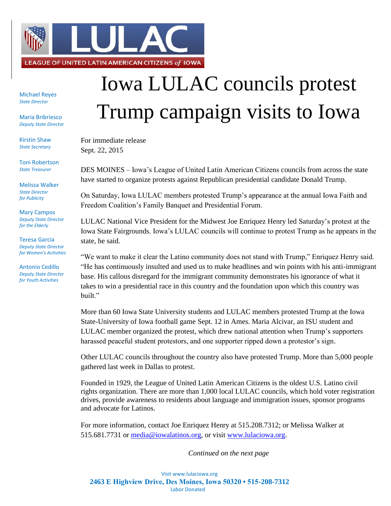

Michael Reyes *State Director*

Maria Bribriesco *Deputy State Director*

Kirstin Shaw *State Secretary*

Toni Robertson *State Treasurer*

Melissa Walker *State Director for Publicity*

Mary Campos *Deputy State Director for the Elderly*

Teresa Garcia *Deputy State Director for Women's Activities*

Antonio Cedillo *Deputy State Director for Youth Activities*

## Iowa LULAC councils protest Trump campaign visits to Iowa

For immediate release Sept. 22, 2015

DES MOINES – Iowa's League of United Latin American Citizens councils from across the state have started to organize protests against Republican presidential candidate Donald Trump.

On Saturday, Iowa LULAC members protested Trump's appearance at the annual Iowa Faith and Freedom Coalition's Family Banquet and Presidential Forum.

LULAC National Vice President for the Midwest Joe Enriquez Henry led Saturday's protest at the Iowa State Fairgrounds. Iowa's LULAC councils will continue to protest Trump as he appears in the state, he said.

"We want to make it clear the Latino community does not stand with Trump," Enriquez Henry said. "He has continuously insulted and used us to make headlines and win points with his anti-immigrant base. His callous disregard for the immigrant community demonstrates his ignorance of what it takes to win a presidential race in this country and the foundation upon which this country was built."

More than 60 Iowa State University students and LULAC members protested Trump at the Iowa State-University of Iowa football game Sept. 12 in Ames. Maria Alcivar, an ISU student and LULAC member organized the protest, which drew national attention when Trump's supporters harassed peaceful student protestors, and one supporter ripped down a protestor's sign.

Other LULAC councils throughout the country also have protested Trump. More than 5,000 people gathered last week in Dallas to protest.

Founded in 1929, the League of United Latin American Citizens is the oldest U.S. Latino civil rights organization. There are more than 1,000 local LULAC councils, which hold voter registration drives, provide awareness to residents about language and immigration issues, sponsor programs and advocate for Latinos.

For more information, contact Joe Enriquez Henry at 515.208.7312; or Melissa Walker at 515.681.7731 or [media@iowalatinos.org,](mailto:media@iowalatinos.org) or visit [www.lulaciowa.org.](http://www.lulaciowa.org/)

*Continued on the next page*